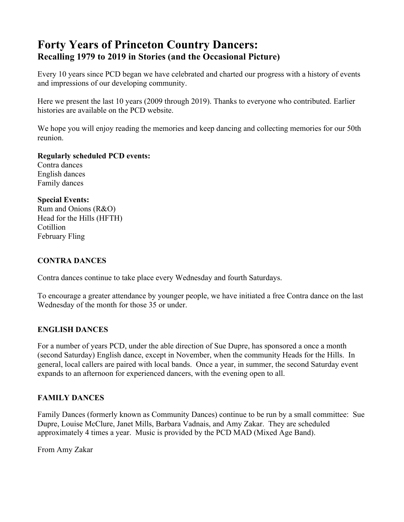# **Forty Years of Princeton Country Dancers: Recalling 1979 to 2019 in Stories (and the Occasional Picture)**

Every 10 years since PCD began we have celebrated and charted our progress with a history of events and impressions of our developing community.

Here we present the last 10 years (2009 through 2019). Thanks to everyone who contributed. Earlier histories are available on the PCD website.

We hope you will enjoy reading the memories and keep dancing and collecting memories for our 50th reunion.

**Regularly scheduled PCD events:**

Contra dances English dances Family dances

#### **Special Events:**

Rum and Onions (R&O) Head for the Hills (HFTH) **Cotillion** February Fling

# **CONTRA DANCES**

Contra dances continue to take place every Wednesday and fourth Saturdays.

To encourage a greater attendance by younger people, we have initiated a free Contra dance on the last Wednesday of the month for those 35 or under.

# **ENGLISH DANCES**

For a number of years PCD, under the able direction of Sue Dupre, has sponsored a once a month (second Saturday) English dance, except in November, when the community Heads for the Hills. In general, local callers are paired with local bands. Once a year, in summer, the second Saturday event expands to an afternoon for experienced dancers, with the evening open to all.

# **FAMILY DANCES**

Family Dances (formerly known as Community Dances) continue to be run by a small committee: Sue Dupre, Louise McClure, Janet Mills, Barbara Vadnais, and Amy Zakar. They are scheduled approximately 4 times a year. Music is provided by the PCD MAD (Mixed Age Band).

From Amy Zakar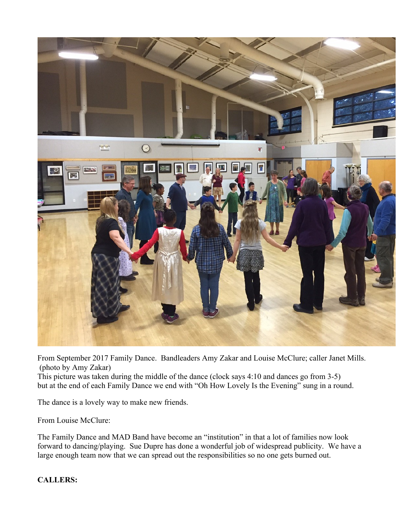

From September 2017 Family Dance. Bandleaders Amy Zakar and Louise McClure; caller Janet Mills. (photo by Amy Zakar)

This picture was taken during the middle of the dance (clock says 4:10 and dances go from 3-5) but at the end of each Family Dance we end with "Oh How Lovely Is the Evening" sung in a round.

The dance is a lovely way to make new friends.

From Louise McClure:

The Family Dance and MAD Band have become an "institution" in that a lot of families now look forward to dancing/playing. Sue Dupre has done a wonderful job of widespread publicity. We have a large enough team now that we can spread out the responsibilities so no one gets burned out.

# **CALLERS:**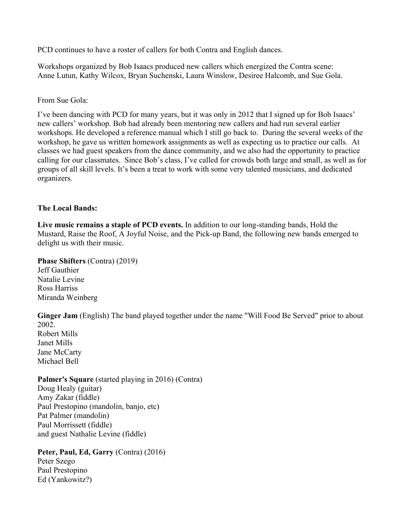PCD continues to have a roster of callers for both Contra and English dances.

Workshops organized by Bob Isaacs produced new callers which energized the Contra scene: Anne Lutun, Kathy Wilcox, Bryan Suchenski, Laura Winslow, Desiree Halcomb, and Sue Gola.

From Sue Gola:

I've been dancing with PCD for many years, but it was only in 2012 that I signed up for Bob Isaacs' new callers' workshop. Bob had already been mentoring new callers and had run several earlier workshops. He developed a reference manual which I still go back to. During the several weeks of the workshop, he gave us written homework assignments as well as expecting us to practice our calls. At classes we had guest speakers from the dance community, and we also had the opportunity to practice calling for our classmates. Since Bob's class, I've called for crowds both large and small, as well as for groups of all skill levels. It's been a treat to work with some very talented musicians, and dedicated organizers.

# **The Local Bands:**

**Live music remains a staple of PCD events.** In addition to our long-standing bands, Hold the Mustard, Raise the Roof, A Joyful Noise, and the Pick-up Band, the following new bands emerged to delight us with their music.

**Phase Shifters** (Contra) (2019) Jeff Gauthier Natalie Levine Ross Harriss Miranda Weinberg

**Ginger Jam** (English) The band played together under the name "Will Food Be Served" prior to about 2002. Robert Mills Janet Mills Jane McCarty Michael Bell

## **Palmer's Square** (started playing in 2016) (Contra) Doug Healy (guitar) Amy Zakar (fiddle) Paul Prestopino (mandolin, banjo, etc) Pat Palmer (mandolin)

Paul Morrissett (fiddle) and guest Nathalie Levine (fiddle)

#### **Peter, Paul, Ed, Garry** (Contra) (2016) Peter Szego

Paul Prestopino Ed (Yankowitz?)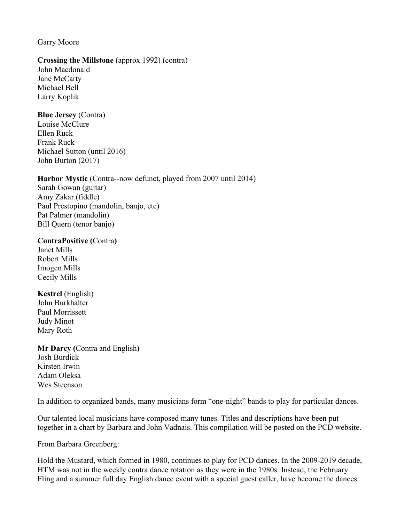# Garry Moore

# **Crossing the Millstone** (approx 1992) (contra)

John Macdonald Jane McCarty Michael Bell Larry Koplik

## **Blue Jersey** (Contra)

Louise McClure Ellen Ruck Frank Ruck Michael Sutton (until 2016) John Burton (2017)

# **Harbor Mystic** (Contra--now defunct, played from 2007 until 2014)

Sarah Gowan (guitar) Amy Zakar (fiddle) Paul Prestopino (mandolin, banjo, etc) Pat Palmer (mandolin) Bill Quern (tenor banjo)

#### **ContraPositive (**Contra**)**

Janet Mills Robert Mills Imogen Mills Cecily Mills

**Kestrel** (English) John Burkhalter Paul Morrissett Judy Minot Mary Roth

**Mr Darcy (**Contra and English**)** Josh Burdick Kirsten Irwin Adam Oleksa Wes Steenson

In addition to organized bands, many musicians form "one-night" bands to play for particular dances.

Our talented local musicians have composed many tunes. Titles and descriptions have been put together in a chart by Barbara and John Vadnais. This compilation will be posted on the PCD website.

From Barbara Greenberg:

Hold the Mustard, which formed in 1980, continues to play for PCD dances. In the 2009-2019 decade, HTM was not in the weekly contra dance rotation as they were in the 1980s. Instead, the February Fling and a summer full day English dance event with a special guest caller, have become the dances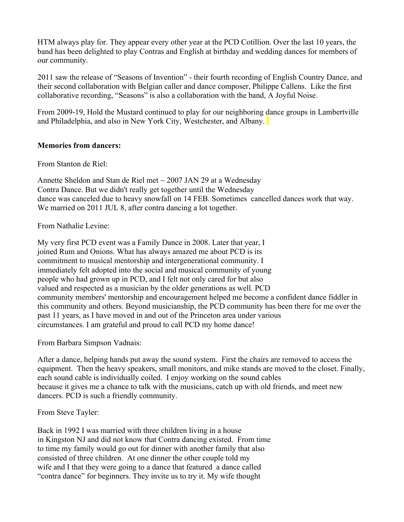HTM always play for. They appear every other year at the PCD Cotillion. Over the last 10 years, the band has been delighted to play Contras and English at birthday and wedding dances for members of our community.

2011 saw the release of "Seasons of Invention" - their fourth recording of English Country Dance, and their second collaboration with Belgian caller and dance composer, Philippe Callens. Like the first collaborative recording, "Seasons" is also a collaboration with the band, A Joyful Noise.

From 2009-19, Hold the Mustard continued to play for our neighboring dance groups in Lambertville and Philadelphia, and also in New York City, Westchester, and Albany.

#### **Memories from dancers:**

From Stanton de Riel:

Annette Sheldon and Stan de Riel met  $\sim$  2007 JAN 29 at a Wednesday Contra Dance. But we didn't really get together until the Wednesday dance was canceled due to heavy snowfall on 14 FEB. Sometimes cancelled dances work that way. We married on 2011 JUL 8, after contra dancing a lot together.

From Nathalie Levine:

My very first PCD event was a Family Dance in 2008. Later that year, I joined Rum and Onions. What has always amazed me about PCD is its commitment to musical mentorship and intergenerational community. I immediately felt adopted into the social and musical community of young people who had grown up in PCD, and I felt not only cared for but also valued and respected as a musician by the older generations as well. PCD community members' mentorship and encouragement helped me become a confident dance fiddler in this community and others. Beyond musicianship, the PCD community has been there for me over the past 11 years, as I have moved in and out of the Princeton area under various circumstances. I am grateful and proud to call PCD my home dance!

From Barbara Simpson Vadnais:

After a dance, helping hands put away the sound system. First the chairs are removed to access the equipment. Then the heavy speakers, small monitors, and mike stands are moved to the closet. Finally, each sound cable is individually coiled. I enjoy working on the sound cables because it gives me a chance to talk with the musicians, catch up with old friends, and meet new dancers. PCD is such a friendly community.

From Steve Tayler:

Back in 1992 I was married with three children living in a house in Kingston NJ and did not know that Contra dancing existed. From time to time my family would go out for dinner with another family that also consisted of three children. At one dinner the other couple told my wife and I that they were going to a dance that featured a dance called "contra dance" for beginners. They invite us to try it. My wife thought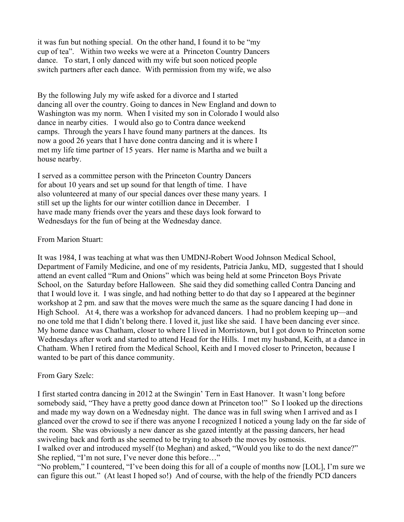it was fun but nothing special. On the other hand, I found it to be "my cup of tea". Within two weeks we were at a Princeton Country Dancers dance. To start, I only danced with my wife but soon noticed people switch partners after each dance. With permission from my wife, we also

By the following July my wife asked for a divorce and I started dancing all over the country. Going to dances in New England and down to Washington was my norm. When I visited my son in Colorado I would also dance in nearby cities. I would also go to Contra dance weekend camps. Through the years I have found many partners at the dances. Its now a good 26 years that I have done contra dancing and it is where I met my life time partner of 15 years. Her name is Martha and we built a house nearby.

I served as a committee person with the Princeton Country Dancers for about 10 years and set up sound for that length of time. I have also volunteered at many of our special dances over these many years. I still set up the lights for our winter cotillion dance in December. I have made many friends over the years and these days look forward to Wednesdays for the fun of being at the Wednesday dance.

#### From Marion Stuart:

It was 1984, I was teaching at what was then UMDNJ-Robert Wood Johnson Medical School, Department of Family Medicine, and one of my residents, Patricia Janku, MD, suggested that I should attend an event called "Rum and Onions" which was being held at some Princeton Boys Private School, on the Saturday before Halloween. She said they did something called Contra Dancing and that I would love it. I was single, and had nothing better to do that day so I appeared at the beginner workshop at 2 pm. and saw that the moves were much the same as the square dancing I had done in High School. At 4, there was a workshop for advanced dancers. I had no problem keeping up—and no one told me that I didn't belong there. I loved it, just like she said. I have been dancing ever since. My home dance was Chatham, closer to where I lived in Morristown, but I got down to Princeton some Wednesdays after work and started to attend Head for the Hills. I met my husband, Keith, at a dance in Chatham. When I retired from the Medical School, Keith and I moved closer to Princeton, because I wanted to be part of this dance community.

#### From Gary Szelc:

I first started contra dancing in 2012 at the Swingin' Tern in East Hanover. It wasn't long before somebody said, "They have a pretty good dance down at Princeton too!" So I looked up the directions and made my way down on a Wednesday night. The dance was in full swing when I arrived and as I glanced over the crowd to see if there was anyone I recognized I noticed a young lady on the far side of the room. She was obviously a new dancer as she gazed intently at the passing dancers, her head swiveling back and forth as she seemed to be trying to absorb the moves by osmosis.

I walked over and introduced myself (to Meghan) and asked, "Would you like to do the next dance?" She replied, "I'm not sure, I've never done this before…"

"No problem," I countered, "I've been doing this for all of a couple of months now [LOL], I'm sure we can figure this out." (At least I hoped so!) And of course, with the help of the friendly PCD dancers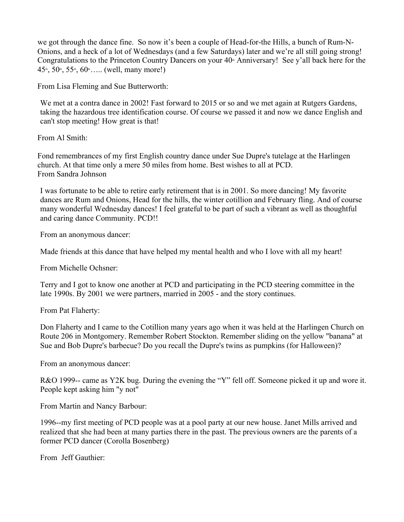we got through the dance fine. So now it's been a couple of Head-for-the Hills, a bunch of Rum-N-Onions, and a heck of a lot of Wednesdays (and a few Saturdays) later and we're all still going strong! Congratulations to the Princeton Country Dancers on your  $40<sup>th</sup>$  Anniversary! See y'all back here for the  $45<sup>th</sup>$ ,  $50<sup>th</sup>$ ,  $55<sup>th</sup>$ ,  $60<sup>th</sup>$ ..... (well, many more!)

From Lisa Fleming and Sue Butterworth:

We met at a contra dance in 2002! Fast forward to 2015 or so and we met again at Rutgers Gardens, taking the hazardous tree identification course. Of course we passed it and now we dance English and can't stop meeting! How great is that!

From Al Smith:

Fond remembrances of my first English country dance under Sue Dupre's tutelage at the Harlingen church. At that time only a mere 50 miles from home. Best wishes to all at PCD. From Sandra Johnson

I was fortunate to be able to retire early retirement that is in 2001. So more dancing! My favorite dances are Rum and Onions, Head for the hills, the winter cotillion and February fling. And of course many wonderful Wednesday dances! I feel grateful to be part of such a vibrant as well as thoughtful and caring dance Community. PCD!!

From an anonymous dancer:

Made friends at this dance that have helped my mental health and who I love with all my heart!

From Michelle Ochsner:

Terry and I got to know one another at PCD and participating in the PCD steering committee in the late 1990s. By 2001 we were partners, married in 2005 - and the story continues.

From Pat Flaherty:

Don Flaherty and I came to the Cotillion many years ago when it was held at the Harlingen Church on Route 206 in Montgomery. Remember Robert Stockton. Remember sliding on the yellow "banana" at Sue and Bob Dupre's barbecue? Do you recall the Dupre's twins as pumpkins (for Halloween)?

From an anonymous dancer:

R&O 1999-- came as Y2K bug. During the evening the "Y" fell off. Someone picked it up and wore it. People kept asking him "y not"

From Martin and Nancy Barbour:

1996--my first meeting of PCD people was at a pool party at our new house. Janet Mills arrived and realized that she had been at many parties there in the past. The previous owners are the parents of a former PCD dancer (Corolla Bosenberg)

From Jeff Gauthier: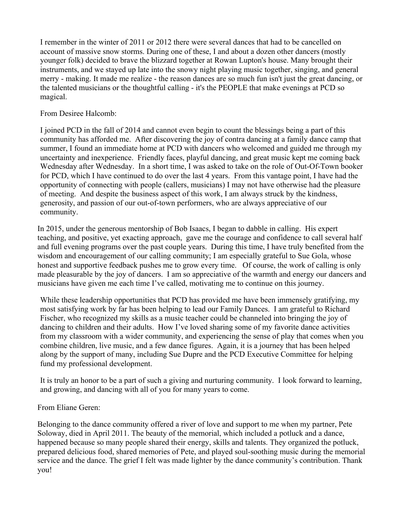I remember in the winter of 2011 or 2012 there were several dances that had to be cancelled on account of massive snow storms. During one of these, I and about a dozen other dancers (mostly younger folk) decided to brave the blizzard together at Rowan Lupton's house. Many brought their instruments, and we stayed up late into the snowy night playing music together, singing, and general merry - making. It made me realize - the reason dances are so much fun isn't just the great dancing, or the talented musicians or the thoughtful calling - it's the PEOPLE that make evenings at PCD so magical.

## From Desiree Halcomb:

I joined PCD in the fall of 2014 and cannot even begin to count the blessings being a part of this community has afforded me. After discovering the joy of contra dancing at a family dance camp that summer, I found an immediate home at PCD with dancers who welcomed and guided me through my uncertainty and inexperience. Friendly faces, playful dancing, and great music kept me coming back Wednesday after Wednesday. In a short time, I was asked to take on the role of Out-Of-Town booker for PCD, which I have continued to do over the last 4 years. From this vantage point, I have had the opportunity of connecting with people (callers, musicians) I may not have otherwise had the pleasure of meeting. And despite the business aspect of this work, I am always struck by the kindness, generosity, and passion of our out-of-town performers, who are always appreciative of our community.

In 2015, under the generous mentorship of Bob Isaacs, I began to dabble in calling. His expert teaching, and positive, yet exacting approach, gave me the courage and confidence to call several half and full evening programs over the past couple years. During this time, I have truly benefited from the wisdom and encouragement of our calling community; I am especially grateful to Sue Gola, whose honest and supportive feedback pushes me to grow every time. Of course, the work of calling is only made pleasurable by the joy of dancers. I am so appreciative of the warmth and energy our dancers and musicians have given me each time I've called, motivating me to continue on this journey.

While these leadership opportunities that PCD has provided me have been immensely gratifying, my most satisfying work by far has been helping to lead our Family Dances. I am grateful to Richard Fischer, who recognized my skills as a music teacher could be channeled into bringing the joy of dancing to children and their adults. How I've loved sharing some of my favorite dance activities from my classroom with a wider community, and experiencing the sense of play that comes when you combine children, live music, and a few dance figures. Again, it is a journey that has been helped along by the support of many, including Sue Dupre and the PCD Executive Committee for helping fund my professional development.

It is truly an honor to be a part of such a giving and nurturing community. I look forward to learning, and growing, and dancing with all of you for many years to come.

# From Eliane Geren:

Belonging to the dance community offered a river of love and support to me when my partner, Pete Soloway, died in April 2011. The beauty of the memorial, which included a potluck and a dance, happened because so many people shared their energy, skills and talents. They organized the potluck, prepared delicious food, shared memories of Pete, and played soul-soothing music during the memorial service and the dance. The grief I felt was made lighter by the dance community's contribution. Thank you!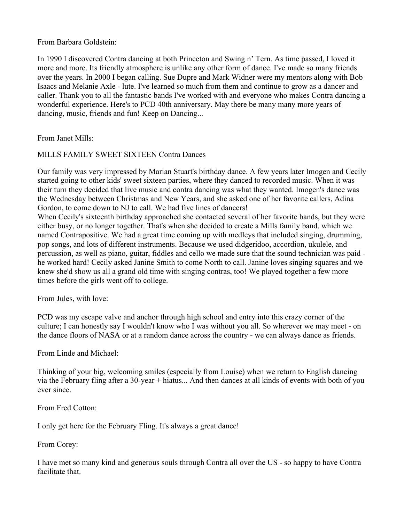From Barbara Goldstein:

In 1990 I discovered Contra dancing at both Princeton and Swing n' Tern. As time passed, I loved it more and more. Its friendly atmosphere is unlike any other form of dance. I've made so many friends over the years. In 2000 I began calling. Sue Dupre and Mark Widner were my mentors along with Bob Isaacs and Melanie Axle - lute. I've learned so much from them and continue to grow as a dancer and caller. Thank you to all the fantastic bands I've worked with and everyone who makes Contra dancing a wonderful experience. Here's to PCD 40th anniversary. May there be many many more years of dancing, music, friends and fun! Keep on Dancing...

From Janet Mills:

# MILLS FAMILY SWEET SIXTEEN Contra Dances

Our family was very impressed by Marian Stuart's birthday dance. A few years later Imogen and Cecily started going to other kids' sweet sixteen parties, where they danced to recorded music. When it was their turn they decided that live music and contra dancing was what they wanted. Imogen's dance was the Wednesday between Christmas and New Years, and she asked one of her favorite callers, Adina Gordon, to come down to NJ to call. We had five lines of dancers!

When Cecily's sixteenth birthday approached she contacted several of her favorite bands, but they were either busy, or no longer together. That's when she decided to create a Mills family band, which we named Contrapositive. We had a great time coming up with medleys that included singing, drumming, pop songs, and lots of different instruments. Because we used didgeridoo, accordion, ukulele, and percussion, as well as piano, guitar, fiddles and cello we made sure that the sound technician was paid he worked hard! Cecily asked Janine Smith to come North to call. Janine loves singing squares and we knew she'd show us all a grand old time with singing contras, too! We played together a few more times before the girls went off to college.

From Jules, with love:

PCD was my escape valve and anchor through high school and entry into this crazy corner of the culture; I can honestly say I wouldn't know who I was without you all. So wherever we may meet - on the dance floors of NASA or at a random dance across the country - we can always dance as friends.

From Linde and Michael:

Thinking of your big, welcoming smiles (especially from Louise) when we return to English dancing via the February fling after a 30-year + hiatus... And then dances at all kinds of events with both of you ever since.

From Fred Cotton:

I only get here for the February Fling. It's always a great dance!

From Corey:

I have met so many kind and generous souls through Contra all over the US - so happy to have Contra facilitate that.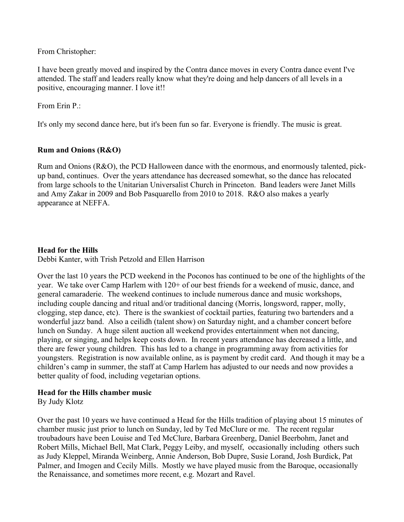From Christopher:

I have been greatly moved and inspired by the Contra dance moves in every Contra dance event I've attended. The staff and leaders really know what they're doing and help dancers of all levels in a positive, encouraging manner. I love it!!

From Erin P.:

It's only my second dance here, but it's been fun so far. Everyone is friendly. The music is great.

# **Rum and Onions (R&O)**

Rum and Onions (R&O), the PCD Halloween dance with the enormous, and enormously talented, pickup band, continues. Over the years attendance has decreased somewhat, so the dance has relocated from large schools to the Unitarian Universalist Church in Princeton. Band leaders were Janet Mills and Amy Zakar in 2009 and Bob Pasquarello from 2010 to 2018. R&O also makes a yearly appearance at NEFFA.

# **Head for the Hills**

Debbi Kanter, with Trish Petzold and Ellen Harrison

Over the last 10 years the PCD weekend in the Poconos has continued to be one of the highlights of the year. We take over Camp Harlem with 120+ of our best friends for a weekend of music, dance, and general camaraderie. The weekend continues to include numerous dance and music workshops, including couple dancing and ritual and/or traditional dancing (Morris, longsword, rapper, molly, clogging, step dance, etc). There is the swankiest of cocktail parties, featuring two bartenders and a wonderful jazz band. Also a ceilidh (talent show) on Saturday night, and a chamber concert before lunch on Sunday. A huge silent auction all weekend provides entertainment when not dancing, playing, or singing, and helps keep costs down. In recent years attendance has decreased a little, and there are fewer young children. This has led to a change in programming away from activities for youngsters. Registration is now available online, as is payment by credit card. And though it may be a children's camp in summer, the staff at Camp Harlem has adjusted to our needs and now provides a better quality of food, including vegetarian options.

# **Head for the Hills chamber music**

By Judy Klotz

Over the past 10 years we have continued a Head for the Hills tradition of playing about 15 minutes of chamber music just prior to lunch on Sunday, led by Ted McClure or me. The recent regular troubadours have been Louise and Ted McClure, Barbara Greenberg, Daniel Beerbohm, Janet and Robert Mills, Michael Bell, Mat Clark, Peggy Leiby, and myself, occasionally including others such as Judy Kleppel, Miranda Weinberg, Annie Anderson, Bob Dupre, Susie Lorand, Josh Burdick, Pat Palmer, and Imogen and Cecily Mills. Mostly we have played music from the Baroque, occasionally the Renaissance, and sometimes more recent, e.g. Mozart and Ravel.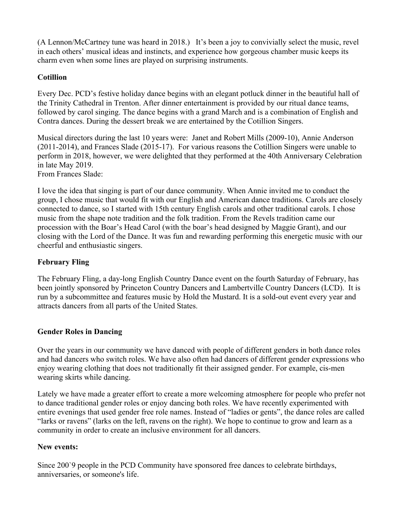(A Lennon/McCartney tune was heard in 2018.) It's been a joy to convivially select the music, revel in each others' musical ideas and instincts, and experience how gorgeous chamber music keeps its charm even when some lines are played on surprising instruments.

# **Cotillion**

Every Dec. PCD's festive holiday dance begins with an elegant potluck dinner in the beautiful hall of the Trinity Cathedral in Trenton. After dinner entertainment is provided by our ritual dance teams, followed by carol singing. The dance begins with a grand March and is a combination of English and Contra dances. During the dessert break we are entertained by the Cotillion Singers.

Musical directors during the last 10 years were: Janet and Robert Mills (2009-10), Annie Anderson (2011-2014), and Frances Slade (2015-17). For various reasons the Cotillion Singers were unable to perform in 2018, however, we were delighted that they performed at the 40th Anniversary Celebration in late May 2019. From Frances Slade:

I love the idea that singing is part of our dance community. When Annie invited me to conduct the group, I chose music that would fit with our English and American dance traditions. Carols are closely connected to dance, so I started with 15th century English carols and other traditional carols. I chose music from the shape note tradition and the folk tradition. From the Revels tradition came our procession with the Boar's Head Carol (with the boar's head designed by Maggie Grant), and our closing with the Lord of the Dance. It was fun and rewarding performing this energetic music with our cheerful and enthusiastic singers.

# **February Fling**

The February Fling, a day-long English Country Dance event on the fourth Saturday of February, has been jointly sponsored by Princeton Country Dancers and Lambertville Country Dancers (LCD). It is run by a subcommittee and features music by Hold the Mustard. It is a sold-out event every year and attracts dancers from all parts of the United States.

# **Gender Roles in Dancing**

Over the years in our community we have danced with people of different genders in both dance roles and had dancers who switch roles. We have also often had dancers of different gender expressions who enjoy wearing clothing that does not traditionally fit their assigned gender. For example, cis-men wearing skirts while dancing.

Lately we have made a greater effort to create a more welcoming atmosphere for people who prefer not to dance traditional gender roles or enjoy dancing both roles. We have recently experimented with entire evenings that used gender free role names. Instead of "ladies or gents", the dance roles are called "larks or ravens" (larks on the left, ravens on the right). We hope to continue to grow and learn as a community in order to create an inclusive environment for all dancers.

# **New events:**

Since 200`9 people in the PCD Community have sponsored free dances to celebrate birthdays, anniversaries, or someone's life.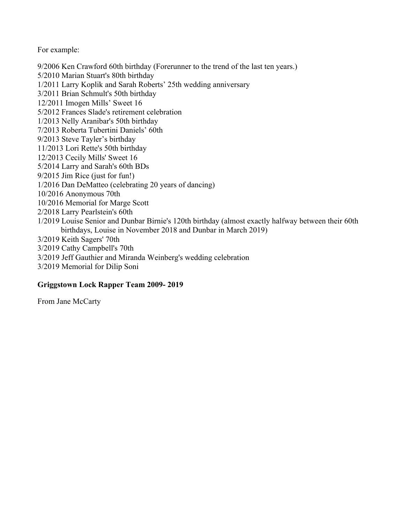For example:

9/2006 Ken Crawford 60th birthday (Forerunner to the trend of the last ten years.) 5/2010 Marian Stuart's 80th birthday 1/2011 Larry Koplik and Sarah Roberts' 25th wedding anniversary 3/2011 Brian Schmult's 50th birthday 12/2011 Imogen Mills' Sweet 16 5/2012 Frances Slade's retirement celebration 1/2013 Nelly Aranibar's 50th birthday 7/2013 Roberta Tubertini Daniels' 60th 9/2013 Steve Tayler's birthday 11/2013 Lori Rette's 50th birthday 12/2013 Cecily Mills' Sweet 16 5/2014 Larry and Sarah's 60th BDs 9/2015 Jim Rice (just for fun!) 1/2016 Dan DeMatteo (celebrating 20 years of dancing) 10/2016 Anonymous 70th 10/2016 Memorial for Marge Scott 2/2018 Larry Pearlstein's 60th 1/2019 Louise Senior and Dunbar Birnie's 120th birthday (almost exactly halfway between their 60th birthdays, Louise in November 2018 and Dunbar in March 2019) 3/2019 Keith Sagers' 70th 3/2019 Cathy Campbell's 70th 3/2019 Jeff Gauthier and Miranda Weinberg's wedding celebration

3/2019 Memorial for Dilip Soni

# **Griggstown Lock Rapper Team 2009- 2019**

From Jane McCarty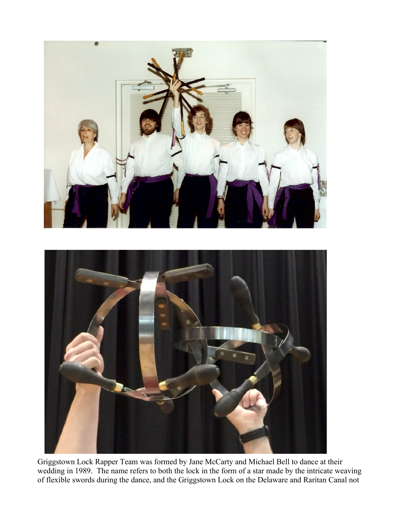

Griggstown Lock Rapper Team was formed by Jane McCarty and Michael Bell to dance at their wedding in 1989. The name refers to both the lock in the form of a star made by the intricate weaving of flexible swords during the dance, and the Griggstown Lock on the Delaware and Raritan Canal not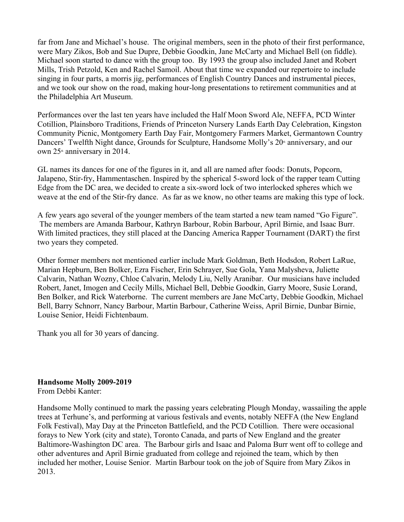far from Jane and Michael's house. The original members, seen in the photo of their first performance, were Mary Zikos, Bob and Sue Dupre, Debbie Goodkin, Jane McCarty and Michael Bell (on fiddle). Michael soon started to dance with the group too. By 1993 the group also included Janet and Robert Mills, Trish Petzold, Ken and Rachel Samoil. About that time we expanded our repertoire to include singing in four parts, a morris jig, performances of English Country Dances and instrumental pieces, and we took our show on the road, making hour-long presentations to retirement communities and at the Philadelphia Art Museum.

Performances over the last ten years have included the Half Moon Sword Ale, NEFFA, PCD Winter Cotillion, Plainsboro Traditions, Friends of Princeton Nursery Lands Earth Day Celebration, Kingston Community Picnic, Montgomery Earth Day Fair, Montgomery Farmers Market, Germantown Country Dancers' Twelfth Night dance, Grounds for Sculpture, Handsome Molly's 20<sup>th</sup> anniversary, and our own  $25<sup>th</sup>$  anniversary in 2014.

GL names its dances for one of the figures in it, and all are named after foods: Donuts, Popcorn, Jalapeno, Stir-fry, Hammentaschen. Inspired by the spherical 5-sword lock of the rapper team Cutting Edge from the DC area, we decided to create a six-sword lock of two interlocked spheres which we weave at the end of the Stir-fry dance. As far as we know, no other teams are making this type of lock.

A few years ago several of the younger members of the team started a new team named "Go Figure". The members are Amanda Barbour, Kathryn Barbour, Robin Barbour, April Birnie, and Isaac Burr. With limited practices, they still placed at the Dancing America Rapper Tournament (DART) the first two years they competed.

Other former members not mentioned earlier include Mark Goldman, Beth Hodsdon, Robert LaRue, Marian Hepburn, Ben Bolker, Ezra Fischer, Erin Schrayer, Sue Gola, Yana Malysheva, Juliette Calvarin, Nathan Wozny, Chloe Calvarin, Melody Liu, Nelly Aranibar. Our musicians have included Robert, Janet, Imogen and Cecily Mills, Michael Bell, Debbie Goodkin, Garry Moore, Susie Lorand, Ben Bolker, and Rick Waterborne. The current members are Jane McCarty, Debbie Goodkin, Michael Bell, Barry Schnorr, Nancy Barbour, Martin Barbour, Catherine Weiss, April Birnie, Dunbar Birnie, Louise Senior, Heidi Fichtenbaum.

Thank you all for 30 years of dancing.

#### **Handsome Molly 2009-2019** From Debbi Kanter:

Handsome Molly continued to mark the passing years celebrating Plough Monday, wassailing the apple trees at Terhune's, and performing at various festivals and events, notably NEFFA (the New England Folk Festival), May Day at the Princeton Battlefield, and the PCD Cotillion. There were occasional forays to New York (city and state), Toronto Canada, and parts of New England and the greater Baltimore-Washington DC area. The Barbour girls and Isaac and Paloma Burr went off to college and other adventures and April Birnie graduated from college and rejoined the team, which by then included her mother, Louise Senior. Martin Barbour took on the job of Squire from Mary Zikos in 2013.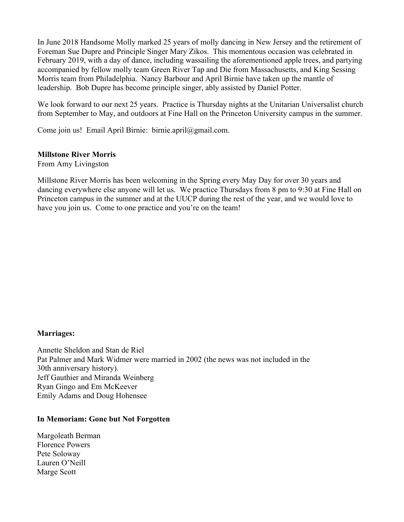In June 2018 Handsome Molly marked 25 years of molly dancing in New Jersey and the retirement of Foreman Sue Dupre and Principle Singer Mary Zikos. This momentous occasion was celebrated in February 2019, with a day of dance, including wassailing the aforementioned apple trees, and partying accompanied by fellow molly team Green River Tap and Die from Massachusetts, and King Sessing Morris team from Philadelphia. Nancy Barbour and April Birnie have taken up the mantle of leadership. Bob Dupre has become principle singer, ably assisted by Daniel Potter.

We look forward to our next 25 years. Practice is Thursday nights at the Unitarian Universalist church from September to May, and outdoors at Fine Hall on the Princeton University campus in the summer.

Come join us! Email April Birnie: birnie.april@gmail.com.

#### **Millstone River Morris**

From Amy Livingston

Millstone River Morris has been welcoming in the Spring every May Day for over 30 years and dancing everywhere else anyone will let us. We practice Thursdays from 8 pm to 9:30 at Fine Hall on Princeton campus in the summer and at the UUCP during the rest of the year, and we would love to have you join us. Come to one practice and you're on the team!

# **Marriages:**

Annette Sheldon and Stan de Riel Pat Palmer and Mark Widmer were married in 2002 (the news was not included in the 30th anniversary history). Jeff Gauthier and Miranda Weinberg Ryan Gingo and Em McKeever Emily Adams and Doug Hohensee

#### **In Memoriam: Gone but Not Forgotten**

Margoleath Berman Florence Powers Pete Soloway Lauren O'Neill Marge Scott